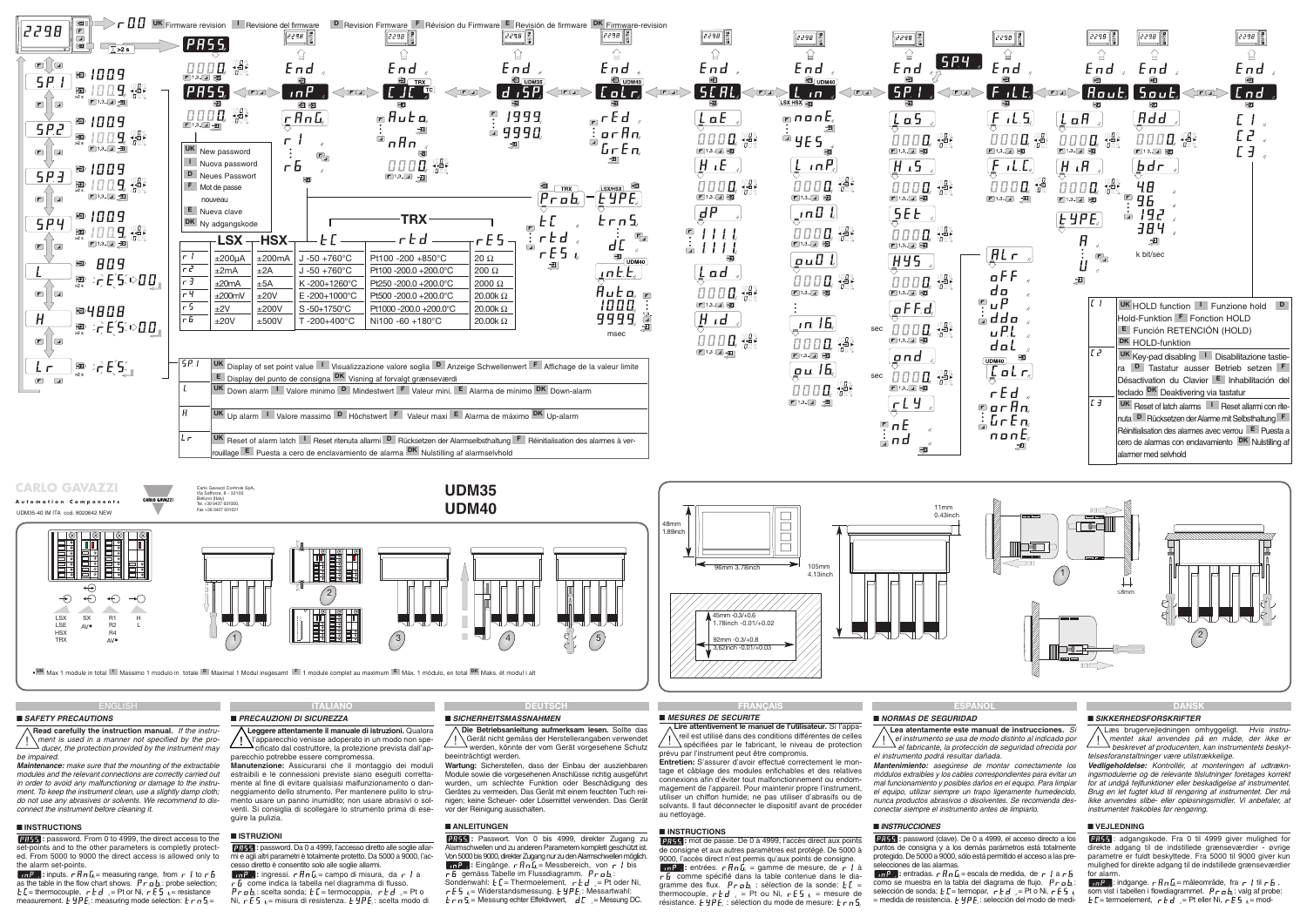# ■ **SAFETY PRECAUTIONS**

**Read carefully the instruction manual.** If the instrube impaired.

**Maintenance:** make sure that the mounting of the extractable modules and the relevant connections are correctly carried out in order to avoid any malfunctioning or damage to the instrument. To keep the instrument clean, use a slightly damp cloth: do not use any abrasives or solvents. We recommend to disconnect the instrument before cleaning it.

**EFFEE:** password. From 0 to 4999, the direct access to the set-points and to the other parameters is completly protected. From 5000 to 9000 the direct access is allowed only to the alarm set-points.

 $\overline{a}$   $\overline{b}$   $\overline{c}$  inputs.  $\overline{c}$   $\overline{f}$   $\overline{a}$   $\overline{b}$   $\overline{c}$  measuring range, from  $\overline{c}$  to  $\overline{c}$   $\overline{b}$ as the table in the flow chart shows.  $P \rightharpoonup a b$ : probe selection;  $E =$  thermocouple,  $E = d$  = Pt or Ni,  $E = d$  = resistance measurement.  $\vec{F} H P E$ : measuring mode selection:  $\vec{F} F \vec{n} \bar{F} =$ 

### ■ **INSTRUCTIONS**

# ■ **SICHERHEITSMASSNAHMEN**

**Die Betriebsanleitung aufmerksam lesen.** Sollte das Gerät nicht gemäss der Herstellerangaben verwendet werden, könnte der vom Gerät vorgesehene Schutz beeinträchtigt werden.

**Wartung:** Sicherstellen, dass der Einbau der ausziehbaren Module sowie die vorgesehenen Anschlüsse richtig ausgeführt wurden, um schlechte Funktion oder Beschädigung des Gerätes zu vermeiden. Das Gerät mit einem feuchten Tuch reinigen; keine Scheuer- oder Lösemittel verwenden. Das Gerät vor der Reinigung ausschalten.

# ■ **ANLEITUNGEN**

**FIRER:** Passwort. Von 0 bis 4999, direkter Zugang zu Alarmschwellen und zu anderen Parametern komplett geschützt ist. Von 5000 bis 9000, direkter Zugang nur zu den Alarmschwellen möglich.  $\overline{\mathbf{u} \cdot \mathbf{r}}$   $\overline{\mathbf{v}}$  Eingänge.  $\mathbf{r} \cdot \overline{\mathbf{H}} \cdot \overline{\mathbf{L}}_i = \overline{\mathbf{M}}$ essbereich, von  $\mathbf{r} \cdot \overline{\mathbf{I}}$  bis  $\overline{c}$  gemäss Tabelle im Flussdiagramm.  $P_{\overline{c}}$  o b.:

Sondenwahl:  $E =$  Thermoelement,  $r \nmid d$  = Pt oder Ni,  $\mathsf{r} \mathsf{E} \mathsf{S}_{\mathsf{u}} = \mathsf{W}$ iderstandsmessung.  $\mathsf{E} \mathsf{Y} \mathsf{P} \mathsf{E}_{\mathsf{u}}$ : Messartwahl:  $E \cap \overline{S} =$  Messung echter Effektivwert,  $\overline{d}E =$  Messung DC.

**:** password (clave). De 0 a 4999, el acceso directo a los puntos de consigna y a los demás parámetros está totalmente protegido. De 5000 a 9000, sólo está permitido el acceso a las prelecciones de las alarmas.

 $\overline{10P}$  : entradas.  $\overline{r}$   $\overline{H}$   $\overline{n}$   $\overline{L}$  = escala de medida, de  $\overline{r}$  | a  $\overline{r}$   $\overline{B}$ como se muestra en la tabla del diagrama de flujo.  $P \rhd a b$ . selección de sonda;  $E =$  termopar,  $\overline{E}E + \overline{E}E =$ Pt o Ni,  $E = \overline{E}E$  $=$  medida de resistencia.  $E \nsubseteq F$ : selección del modo de medi-

**ESPAÑOL** 

### **FRANÇAIS** ■ **MESURES DE SECURITE**

**Lire attentivement le manuel de l'utilisateur.** Si l'appareil est utilisé dans des conditions différentes de celles  $\Delta$ spécifiées par le fabricant, le niveau de protection prévu par l'instrument peut être compromis.

 $\sum_{i=1}^{n}$  ment is used in a manner not specified by the pro-<br>
ducer, the protection provided by the instrument may and cificato dal costruttore, la protezione prevista dall'ap-<br>
ducer, the protection  $\sum_{i=1}^{n}$  al fa **Lea atentamente este manual de instrucciones.** Si el instrumento se usa de modo distinto al indicado por el fabricante, la protección de seguridad ofrecida por el instrumento podrá resultar dañada. **Mantenimiento:** asegúrese de montar correctamente los módulos extraibles y los cables correspondientes para evitar un mal funcionamiento y posibles daños en el equipo. Para limpiar el equipo, utilizar siempre un trapo ligeramente humedecido, nunca productos abrasivos o disolventes. Se recomienda desconectar siempre el instrumento antes de limpiarlo. mentet skal anvendes på en måde, der ikke er beskrevet af producenten, kan instrumentets beskyttelsesforanstaltninger være utilstrækkelige. **Vedligeholdelse:** Kontrollér, at monteringen af udtrækningsmodulerne og de relevante tilslutninger foretages korrekt for at undgå fejlfunktioner eller beskadigelse af instrumentet. Brug en let fugtet klud til rengøring af instrumentet. Der må ikke anvendes slibe- eller opløsningsmidler. Vi anbefaler, at instrumentet frakobles før rengøring.

**Entretien:** S'assurer d'avoir effectué correctement le montage et câblage des modules enfichables et des relatives connexions afin d'éviter tout malfonctionnement ou endommagement de l'appareil. Pour maintenir propre l'instrument, utiliser un chiffon humide; ne pas utiliser d'abrasifs ou de solvants. Il faut déconnecter le dispositif avant de procéder au nettoyage.

#### ■ **INSTRUCTIONS**

**1755**: mot de passe. De 0 à 4999, l'accès direct aux points de consigne et aux autres paramètres est protégé. De 5000 à 9000, l'accès direct n'est permis qu'aux points de consigne.  $\int$ **:** entrées.  $r \ln L$  = gamme de mesure, de  $\int$  à  $r<sub>b</sub>$  comme spécifié dans la table contenue dans le diagramme des flux.  $\vec{P} \cdot \vec{n}$  : sélection de la sonde:  $\vec{E}$  = thermocouple,  $r \notin d$ ,  $r = Pt$  ou Ni,  $r \notin f$ ,  $r =$  mesure de résistance.  $E YPE$ : sélection du mode de mesure:  $E \cap B$ 

# ■ **NORMAS DE SEGURIDAD**

### ■ **INSTRUCCIONES**

**DANSK**

### ■ **SIKKERHEDSFORSKRIFTER**

Læs brugervejledningen omhyggeligt. Hvis instru-

## ■ **VEJLEDNING**

: adgangskode. Fra 0 til 4999 giver mulighed for direkte adgang til de indstillede grænseværdier - øvrige parametre er fuldt beskyttede. Fra 5000 til 9000 giver kun mulighed for direkte adgang til de indstillede grænseværdier for alarm.

 $\boxed{\text{in } P}$ : indgange.  $\overline{r}$   $\overline{H}$   $\overline{n}$   $L$ <sub>i</sub> = måleområde, fra  $\overline{r}$  i til  $\overline{r}$   $\overline{B}$ som vist i tabellen i flowdiagrammet.  $P \rightharpoondown a$  valg af probe:  $F =$  termoelement,  $F - F =$  Pt eller Ni,  $F - F =$   $F =$  mod-

**ITALIANO**

# ■ **PRECAUZIONI DI SICUREZZA**

**Manutenzione:** Assicurarsi che il montaggio dei moduli estraibili e le connessioni previste siano eseguiti correttamente al fine di evitare qualsiasi malfunzionamento o danneggiamento dello strumento. Per mantenere pulito lo strumento usare un panno inumidito; non usare abrasivi o solventi. Si consiglia di scollegare lo strumento prima di eseguire la pulizia.

#### **Leggere attentamente il manuale di istruzioni.** Qualora l'apparecchio venisse adoperato in un modo non spe-<br>d'apparecchio venisse adoperato in un modo non specificato dal costruttore, la protezione prevista dall'apparecchio potrebbe essere compromessa. **!**

#### ■ **ISTRUZIONI**

**:** password. Da 0 a 4999, l'accesso diretto alle soglie allarmi e agli altri parametri è totalmente protetto. Da 5000 a 9000, l'accesso diretto è consentito solo alle soglie allarmi.

**In P**<sub>2</sub>: ingressi.  $r \nvert R \nvert L$ <sub>i</sub> = campo di misura, da  $r \nvert R$  $\overline{c}$  come indica la tabella nel diagramma di flusso.

: scelta sonda; = termocoppia, = Pt o Ni, = misura di resistenza. : scelta modo di

# **DEUTSCH**